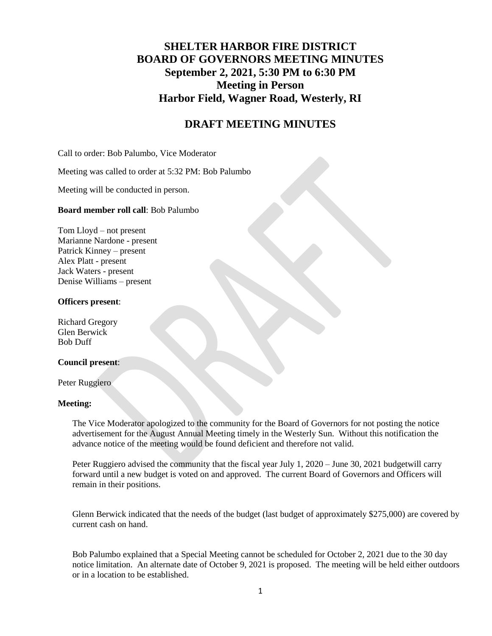# **SHELTER HARBOR FIRE DISTRICT BOARD OF GOVERNORS MEETING MINUTES September 2, 2021, 5:30 PM to 6:30 PM Meeting in Person Harbor Field, Wagner Road, Westerly, RI**

# **DRAFT MEETING MINUTES**

Call to order: Bob Palumbo, Vice Moderator

Meeting was called to order at 5:32 PM: Bob Palumbo

Meeting will be conducted in person.

## **Board member roll call**: Bob Palumbo

Tom Lloyd – not present Marianne Nardone - present Patrick Kinney – present Alex Platt - present Jack Waters - present Denise Williams – present

## **Officers present**:

Richard Gregory Glen Berwick Bob Duff

#### **Council present**:

Peter Ruggiero

#### **Meeting:**

The Vice Moderator apologized to the community for the Board of Governors for not posting the notice advertisement for the August Annual Meeting timely in the Westerly Sun. Without this notification the advance notice of the meeting would be found deficient and therefore not valid.

Peter Ruggiero advised the community that the fiscal year July 1, 2020 – June 30, 2021 budgetwill carry forward until a new budget is voted on and approved. The current Board of Governors and Officers will remain in their positions.

Glenn Berwick indicated that the needs of the budget (last budget of approximately \$275,000) are covered by current cash on hand.

Bob Palumbo explained that a Special Meeting cannot be scheduled for October 2, 2021 due to the 30 day notice limitation. An alternate date of October 9, 2021 is proposed. The meeting will be held either outdoors or in a location to be established.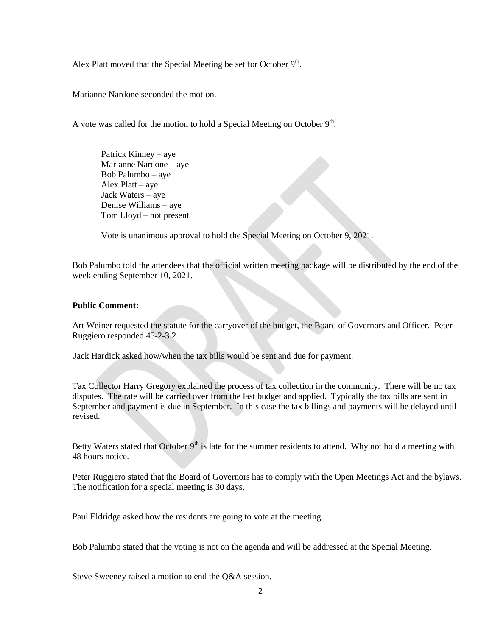Alex Platt moved that the Special Meeting be set for October  $9<sup>th</sup>$ .

Marianne Nardone seconded the motion.

A vote was called for the motion to hold a Special Meeting on October  $9<sup>th</sup>$ .

Patrick Kinney – aye Marianne Nardone – aye Bob Palumbo – aye Alex  $Platt - ave$ Jack Waters – aye Denise Williams – aye Tom Lloyd – not present

Vote is unanimous approval to hold the Special Meeting on October 9, 2021.

Bob Palumbo told the attendees that the official written meeting package will be distributed by the end of the week ending September 10, 2021.

## **Public Comment:**

Art Weiner requested the statute for the carryover of the budget, the Board of Governors and Officer. Peter Ruggiero responded 45-2-3.2.

Jack Hardick asked how/when the tax bills would be sent and due for payment.

Tax Collector Harry Gregory explained the process of tax collection in the community. There will be no tax disputes. The rate will be carried over from the last budget and applied. Typically the tax bills are sent in September and payment is due in September. In this case the tax billings and payments will be delayed until revised.

Betty Waters stated that October  $9<sup>th</sup>$  is late for the summer residents to attend. Why not hold a meeting with 48 hours notice.

Peter Ruggiero stated that the Board of Governors has to comply with the Open Meetings Act and the bylaws. The notification for a special meeting is 30 days.

Paul Eldridge asked how the residents are going to vote at the meeting.

Bob Palumbo stated that the voting is not on the agenda and will be addressed at the Special Meeting.

Steve Sweeney raised a motion to end the Q&A session.